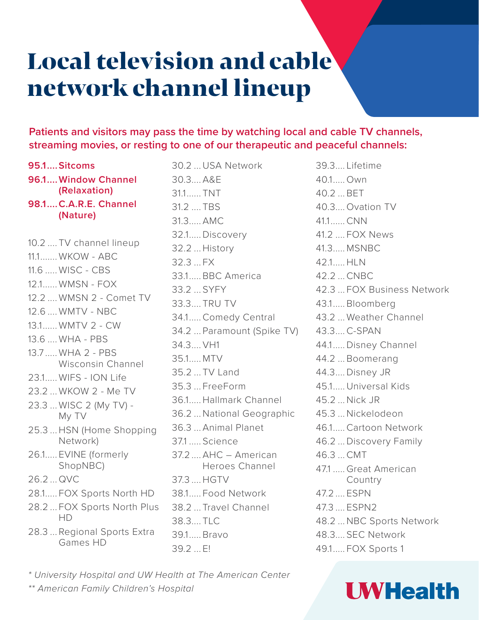# Local television and cable network channel lineup

**Patients and visitors may pass the time by watching local and cable TV channels, streaming movies, or resting to one of our therapeutic and peaceful channels:**

- **95.1....Sitcoms 96.1....Window Channel (Relaxation) 98.1....C.A.R.E. Channel (Nature)**
- 10.2 .... TV channel lineup 11.1 WKOW - ABC 11.6 ..... WISC - CBS 12.1...... WMSN - FOX 12.2 .... WMSN 2 - Comet TV 12.6 WMTV - NBC 13.1...... WMTV 2 - CW 13.6 .... WHA - PBS 13.7 ..... WHA 2 - PBS Wisconsin Channel 23.1..... WIFS - ION Life 23.2 ... WKOW 2 - Me TV 23.3 ... WISC 2 (My TV) - My TV 25.3 ... HSN (Home Shopping Network) 26.1..... EVINE (formerly ShopNBC) 26.2 ... QVC 28.1..... FOX Sports North HD 28.2 ... FOX Sports North Plus HD
- 28.3 ... Regional Sports Extra Games HD

30.2 ...USA Network 30.3.... A&E 31.1...... TNT 31.2 .... TBS 31.3..... AMC 32.1.....Discovery 32.2 ... History 32.3 ... FX 33.1..... BBC America 33.2 ... SYFY 33.3.... TRU TV 34.1.....Comedy Central 34.2 ... Paramount (Spike TV) 34.3.... VH1 35.1..... MTV 35.2 ... TV Land 35.3 ... FreeForm 36.1..... Hallmark Channel 36.2 ...National Geographic 36.3 ... Animal Planet 37.1 ..... Science 37.2 .... AHC – American Heroes Channel 37.3 .... HGTV 38.1..... Food Network 38.2 ... Travel Channel 38.3... TLC 39.1..... Bravo 39.2 ... E!

39.3.... Lifetime 40.1..... Own 40.2 ... BET 40.3.... Ovation TV 41.1......CNN 41.2 .... FOX News 41.3..... MSNBC 42.1..... HLN 42.2 ...CNBC 42.3 ... FOX Business Network 43.1..... Bloomberg 43.2 ... Weather Channel 43.3....C-SPAN 44.1.....Disney Channel 44.2 ... Boomerang 44.3....Disney JR 45.1.....Universal Kids 45.2 ...Nick JR 45.3 ...Nickelodeon 46.1.....Cartoon Network 46.2 ...Discovery Family 46.3 ...CMT 47.1 ..... Great American Country 47.2 .... ESPN 47.3 .... ESPN2 48.2 ...NBC Sports Network 48.3.... SEC Network 49.1..... FOX Sports 1

*\* University Hospital and UW Health at The American Center \*\* American Family Children's Hospital*

#### **UWHealth**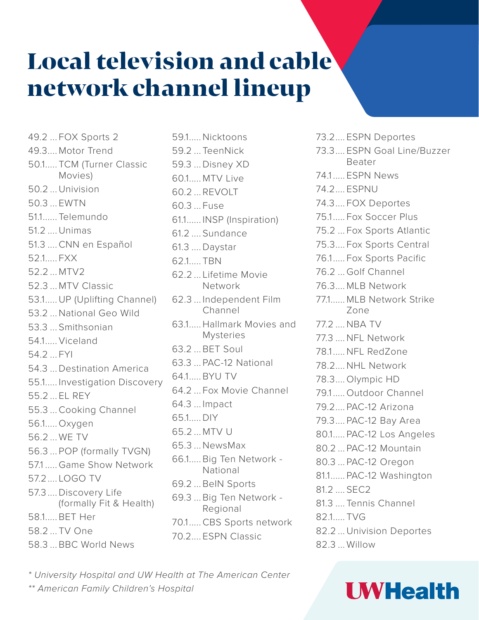# Local television and cable network channel lineup

49.2 ... FOX Sports 2 49.3.... Motor Trend 50.1..... TCM (Turner Classic Movies) 50.2 ...Univision 50.3 ... EWTN 51.1...... Telemundo 51.2 ....Unimas 51.3 ....CNN en Español 52.1..... FXX 52.2 ... MTV2 52.3 ... MTV Classic 53.1.....UP (Uplifting Channel) 53.2 ...National Geo Wild 53.3 ... Smithsonian 54.1..... Viceland 54.2 FYI 54.3 ...Destination America 55.1..... Investigation Discovery 55.2 ... EL REY 55.3 ...Cooking Channel 56.1..... Oxygen 56.2 ... WE TV 56.3 ... POP (formally TVGN) 57.1 ..... Game Show Network 57.2.... LOGO TV 57.3 ....Discovery Life (formally Fit & Health) 58.1..... BET Her 58.2 ... TV One 58.3 ... BBC World News

59.1..... Nicktoons 59.2 ... TeenNick 59.3 ...Disney XD 60.1..... MTV Live 60.2 ... REVOLT 60.3 ... Fuse 61.1...... INSP (Inspiration) 61.2 .... Sundance 61.3 ....Daystar 62.1..... TBN 62.2 ... Lifetime Movie Network 62.3 ... Independent Film Channel 63.1..... Hallmark Movies and Mysteries 63.2 ... BET Soul 63.3 ... PAC-12 National 64.1..... BYU TV 64.2 ... Fox Movie Channel 64.3 ... Impact 65.1.....DIY 65.2 ... MTV U 65.3 ...NewsMax 66.1..... Big Ten Network - National 69.2 ... BeIN Sports 69.3 ... Big Ten Network - Regional 70.1.....CBS Sports network 70.2.... ESPN Classic

73.2.... ESPN Deportes 73.3.... ESPN Goal Line/Buzzer Beater 74.1..... ESPN News 74.2.... ESPNU 74.3.... FOX Deportes 75.1..... Fox Soccer Plus 75.2 ... Fox Sports Atlantic 75.3.... Fox Sports Central 76.1..... Fox Sports Pacific 76.2 ... Golf Channel 76.3.... MLB Network 77.1...... MLB Network Strike Zone 77.2 ....NBA TV 77.3 ....NFL Network 78.1.....NFL RedZone 78.2....NHL Network 78.3.... Olympic HD 79.1..... Outdoor Channel 79.2.... PAC-12 Arizona 79.3.... PAC-12 Bay Area 80.1..... PAC-12 Los Angeles 80.2 ... PAC-12 Mountain 80.3 ... PAC-12 Oregon 81.1...... PAC-12 Washington 81.2 .... SEC2 81.3 .... Tennis Channel 82.1..... TVG 82.2 ...Univision Deportes 82.3 ... Willow

**UWHealth** 

*\* University Hospital and UW Health at The American Center \*\* American Family Children's Hospital*